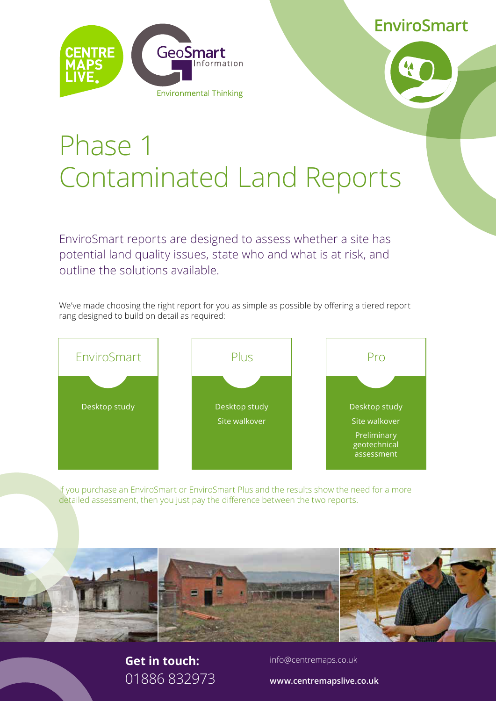**EnviroSmart**





# Phase 1 Contaminated Land Reports

EnviroSmart reports are designed to assess whether a site has potential land quality issues, state who and what is at risk, and outline the solutions available.

We've made choosing the right report for you as simple as possible by offering a tiered report rang designed to build on detail as required:



If you purchase an EnviroSmart or EnviroSmart Plus and the results show the need for a more detailed assessment, then you just pay the difference between the two reports.



#### **Get in touch:** 01886 832973

info@centremaps.co.uk

**www.centremapslive.co.uk**